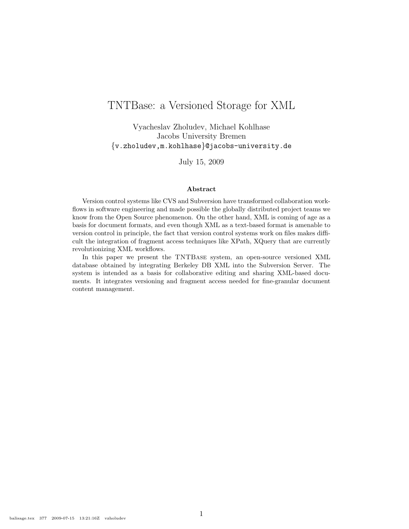# TNTBase: a Versioned Storage for XML

Vyacheslav Zholudev, Michael Kohlhase Jacobs University Bremen {v.zholudev,m.kohlhase}@jacobs-university.de

July 15, 2009

#### Abstract

Version control systems like CVS and Subversion have transformed collaboration workflows in software engineering and made possible the globally distributed project teams we know from the Open Source phenomenon. On the other hand, XML is coming of age as a basis for document formats, and even though XML as a text-based format is amenable to version control in principle, the fact that version control systems work on files makes difficult the integration of fragment access techniques like XPath, XQuery that are currently revolutionizing XML workflows.

In this paper we present the TNTBase system, an open-source versioned XML database obtained by integrating Berkeley DB XML into the Subversion Server. The system is intended as a basis for collaborative editing and sharing XML-based documents. It integrates versioning and fragment access needed for fine-granular document content management.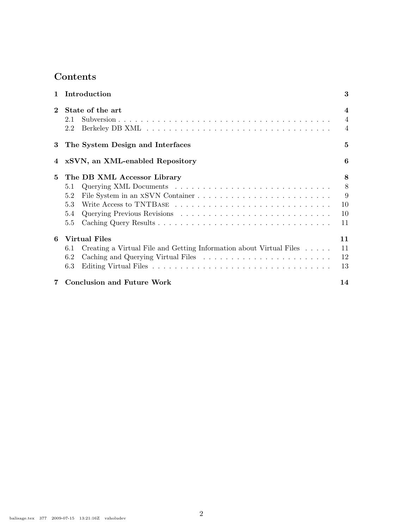# Contents

| $\mathbf{1}$   | Introduction                                                                                                     | 3                                                            |
|----------------|------------------------------------------------------------------------------------------------------------------|--------------------------------------------------------------|
| $\bf{2}$       | State of the art<br>2.1<br>2.2                                                                                   | $\overline{\mathcal{A}}$<br>$\overline{4}$<br>$\overline{4}$ |
| 3              | The System Design and Interfaces                                                                                 | 5                                                            |
|                | 4 xSVN, an XML-enabled Repository                                                                                | 6                                                            |
| 5              | The DB XML Accessor Library<br>5.1<br>5.2<br>5.3<br>5.4<br>5.5                                                   | 8<br>8<br>9<br>10<br>10<br>11                                |
| 6              | <b>Virtual Files</b><br>Creating a Virtual File and Getting Information about Virtual Files<br>6.1<br>6.2<br>6.3 | 11<br>11<br>12<br>13                                         |
| $\overline{7}$ | <b>Conclusion and Future Work</b>                                                                                | 14                                                           |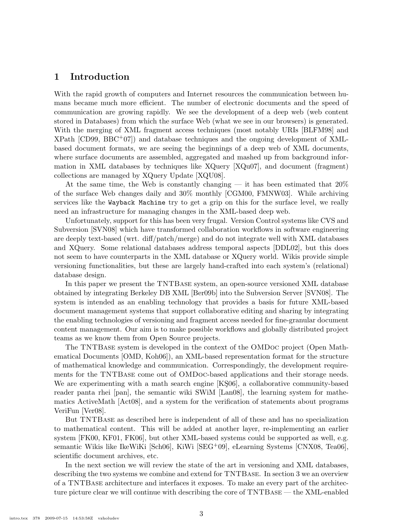### 1 Introduction

With the rapid growth of computers and Internet resources the communication between humans became much more efficient. The number of electronic documents and the speed of communication are growing rapidly. We see the development of a deep web (web content stored in Databases) from which the surface Web (what we see in our browsers) is generated. With the merging of XML fragment access techniques (most notably URIs [BLFM98] and XPath [CD99, BBC+07]) and database techniques and the ongoing development of XMLbased document formats, we are seeing the beginnings of a deep web of XML documents, where surface documents are assembled, aggregated and mashed up from background information in XML databases by techniques like XQuery [XQu07], and document (fragment) collections are managed by XQuery Update [XQU08].

At the same time, the Web is constantly changing — it has been estimated that  $20\%$ of the surface Web changes daily and 30% monthly [CGM00, FMNW03]. While archiving services like the Wayback Machine try to get a grip on this for the surface level, we really need an infrastructure for managing changes in the XML-based deep web.

Unfortunately, support for this has been very frugal. Version Control systems like CVS and Subversion [SVN08] which have transformed collaboration workflows in software engineering are deeply text-based (wrt. diff/patch/merge) and do not integrate well with XML databases and XQuery. Some relational databases address temporal aspects [DDL02], but this does not seem to have counterparts in the XML database or XQuery world. Wikis provide simple versioning functionalities, but these are largely hand-crafted into each system's (relational) database design.

In this paper we present the TNTBase system, an open-source versioned XML database obtained by integrating Berkeley DB XML [Ber09b] into the Subversion Server [SVN08]. The system is intended as an enabling technology that provides a basis for future XML-based document management systems that support collaborative editing and sharing by integrating the enabling technologies of versioning and fragment access needed for fine-granular document content management. Our aim is to make possible workflows and globally distributed project teams as we know them from Open Source projects.

The TNTBase system is developed in the context of the OMDoc project (Open Mathematical Documents [OMD, Koh06]), an XML-based representation format for the structure of mathematical knowledge and communication. Correspondingly, the development requirements for the TNTBase come out of OMDoc-based applications and their storage needs. We are experimenting with a math search engine [KS06], a collaborative community-based reader panta rhei [pan], the semantic wiki SWiM [Lan08], the learning system for mathematics ActiveMath [Act08], and a system for the verification of statements about programs VeriFun [Ver08].

But TNTBase as described here is independent of all of these and has no specialization to mathematical content. This will be added at another layer, re-implementing an earlier system [FK00, KF01, FK06], but other XML-based systems could be supported as well, e.g. semantic Wikis like IkeWiKi [Sch06], KiWi [SEG+09], eLearning Systems [CNX08, Tea06], scientific document archives, etc.

In the next section we will review the state of the art in versioning and XML databases, describing the two systems we combine and extend for TNTBase. In section 3 we an overview of a TNTBase architecture and interfaces it exposes. To make an every part of the architecture picture clear we will continue with describing the core of TNTBase — the XML-enabled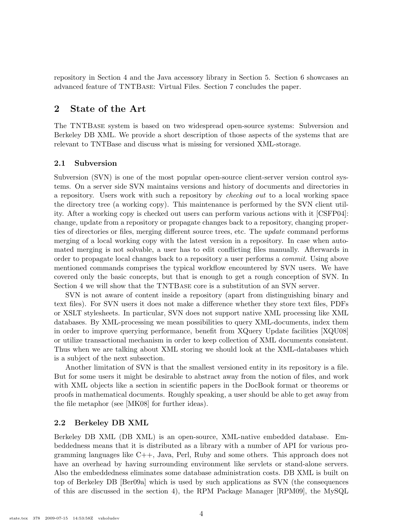repository in Section 4 and the Java accessory library in Section 5. Section 6 showcases an advanced feature of TNTBase: Virtual Files. Section 7 concludes the paper.

# 2 State of the Art

The TNTBase system is based on two widespread open-source systems: Subversion and Berkeley DB XML. We provide a short description of those aspects of the systems that are relevant to TNTBase and discuss what is missing for versioned XML-storage.

#### 2.1 Subversion

Subversion (SVN) is one of the most popular open-source client-server version control systems. On a server side SVN maintains versions and history of documents and directories in a repository. Users work with such a repository by checking out to a local working space the directory tree (a working copy). This maintenance is performed by the SVN client utility. After a working copy is checked out users can perform various actions with it [CSFP04]: change, update from a repository or propagate changes back to a repository, changing properties of directories or files, merging different source trees, etc. The update command performs merging of a local working copy with the latest version in a repository. In case when automated merging is not solvable, a user has to edit conflicting files manually. Afterwards in order to propagate local changes back to a repository a user performs a commit. Using above mentioned commands comprises the typical workflow encountered by SVN users. We have covered only the basic concepts, but that is enough to get a rough conception of SVN. In Section 4 we will show that the TNTBase core is a substitution of an SVN server.

SVN is not aware of content inside a repository (apart from distinguishing binary and text files). For SVN users it does not make a difference whether they store text files, PDFs or XSLT stylesheets. In particular, SVN does not support native XML processing like XML databases. By XML-processing we mean possibilities to query XML-documents, index them in order to improve querying performance, benefit from XQuery Update facilities [XQU08] or utilize transactional mechanism in order to keep collection of XML documents consistent. Thus when we are talking about XML storing we should look at the XML-databases which is a subject of the next subsection.

Another limitation of SVN is that the smallest versioned entity in its repository is a file. But for some users it might be desirable to abstract away from the notion of files, and work with XML objects like a section in scientific papers in the DocBook format or theorems or proofs in mathematical documents. Roughly speaking, a user should be able to get away from the file metaphor (see [MK08] for further ideas).

### 2.2 Berkeley DB XML

Berkeley DB XML (DB XML) is an open-source, XML-native embedded database. Embeddedness means that it is distributed as a library with a number of API for various programming languages like C++, Java, Perl, Ruby and some others. This approach does not have an overhead by having surrounding environment like servlets or stand-alone servers. Also the embeddedness eliminates some database administration costs. DB XML is built on top of Berkeley DB [Ber09a] which is used by such applications as SVN (the consequences of this are discussed in the section 4), the RPM Package Manager [RPM09], the MySQL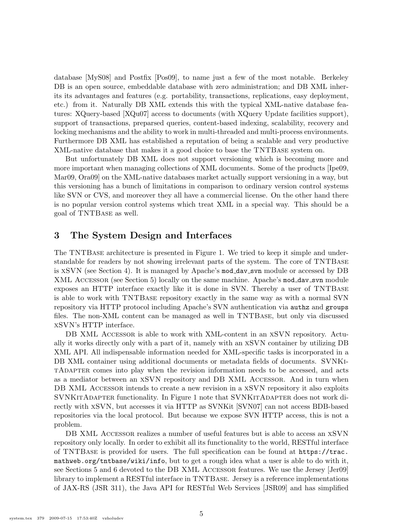database [MyS08] and Postfix [Pos09], to name just a few of the most notable. Berkeley DB is an open source, embeddable database with zero administration; and DB XML inherits its advantages and features (e.g. portability, transactions, replications, easy deployment, etc.) from it. Naturally DB XML extends this with the typical XML-native database features: XQuery-based [XQu07] access to documents (with XQuery Update facilities support), support of transactions, preparsed queries, content-based indexing, scalability, recovery and locking mechanisms and the ability to work in multi-threaded and multi-process environments. Furthermore DB XML has established a reputation of being a scalable and very productive XML-native database that makes it a good choice to base the TNTBase system on.

But unfortunately DB XML does not support versioning which is becoming more and more important when managing collections of XML documents. Some of the products [Ipe09, Mar09, Ora09] on the XML-native databases market actually support versioning in a way, but this versioning has a bunch of limitations in comparison to ordinary version control systems like SVN or CVS, and moreover they all have a commercial license. On the other hand there is no popular version control systems which treat XML in a special way. This should be a goal of TNTBase as well.

### 3 The System Design and Interfaces

The TNTBase architecture is presented in Figure 1. We tried to keep it simple and understandable for readers by not showing irrelevant parts of the system. The core of TNTBase is xSVN (see Section 4). It is managed by Apache's mod dav svn module or accessed by DB XML ACCESSOR (see Section 5) locally on the same machine. Apache's mod\_dav\_svn module exposes an HTTP interface exactly like it is done in SVN. Thereby a user of TNTBase is able to work with TNTBase repository exactly in the same way as with a normal SVN repository via HTTP protocol including Apache's SVN authentication via authz and groups files. The non-XML content can be managed as well in TNTBase, but only via discussed xSVN's HTTP interface.

DB XML ACCESSOR is able to work with XML-content in an XSVN repository. Actually it works directly only with a part of it, namely with an xSVN container by utilizing DB XML API. All indispensable information needed for XML-specific tasks is incorporated in a DB XML container using additional documents or metadata fields of documents. SVNKitAdapter comes into play when the revision information needs to be accessed, and acts as a mediator between an xSVN repository and DB XML Accessor. And in turn when DB XML ACCESSOR intends to create a new revision in a XSVN repository it also exploits SVNKITADAPTER functionality. In Figure 1 note that SVNKITADAPTER does not work directly with xSVN, but accesses it via HTTP as SVNKit [SVN07] can not access BDB-based repositories via the local protocol. But because we expose SVN HTTP access, this is not a problem.

DB XML ACCESSOR realizes a number of useful features but is able to access an XSVN repository only locally. In order to exhibit all its functionality to the world, RESTful interface of TNTBase is provided for users. The full specification can be found at https://trac. mathweb.org/tntbase/wiki/info, but to get a rough idea what a user is able to do with it, see Sections 5 and 6 devoted to the DB XML Accessor features. We use the Jersey [Jer09] library to implement a RESTful interface in TNTBase. Jersey is a reference implementations of JAX-RS (JSR 311), the Java API for RESTful Web Services [JSR09] and has simplified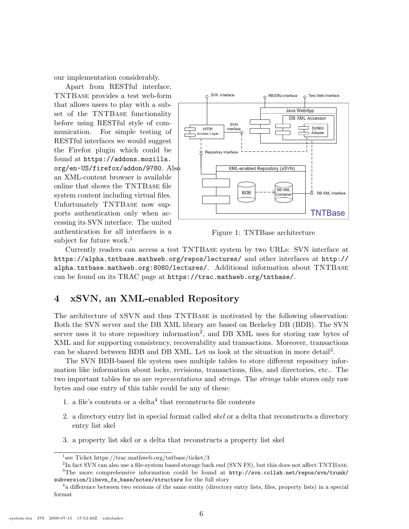our implementation considerably.

Apart from RESTful interface, TNTBase provides a test web-form that allows users to play with a subset of the TNTBase functionality before using RESTful style of communication. For simple testing of RESTful interfaces we would suggest the Firefox plugin which could be found at https://addons.mozilla. org/en-US/firefox/addon/9780. Also an XML-content browser is available online that shows the TNTBase file system content including virtual files. Unfortunately TNTBase now supports authentication only when accessing its SVN interface. The united authentication for all interfaces is a subject for future work.<sup>1</sup>



Figure 1: TNTBase architecture

Currently readers can access a test TNTBase system by two URLs: SVN interface at https://alpha.tntbase.mathweb.org/repos/lectures/ and other interfaces at http:// alpha.tntbase.mathweb.org:8080/lectures/. Additional information about TNTBase can be found on its TRAC page at https://trac.mathweb.org/tntbase/.

# 4 xSVN, an XML-enabled Repository

The architecture of xSVN and thus TNTBase is motivated by the following observation: Both the SVN server and the DB XML library are based on Berkeley DB (BDB). The SVN server uses it to store repository information<sup>2</sup>, and DB XML uses for storing raw bytes of XML and for supporting consistency, recoverability and transactions. Moreover, transactions can be shared between BDB and DB XML. Let us look at the situation in more detail<sup>3</sup>.

The SVN BDB-based file system uses multiple tables to store different repository information like information about locks, revisions, transactions, files, and directories, etc.. The two important tables for us are *representations* and *strings*. The *strings* table stores only raw bytes and one entry of this table could be any of these:

- 1. a file's contents or a delta<sup>4</sup> that reconstructs file contents
- 2. a directory entry list in special format called skel or a delta that reconstructs a directory entry list skel
- 3. a property list skel or a delta that reconstructs a property list skel

<sup>1</sup> see Ticket https://trac.mathweb.org/tntbase/ticket/3

<sup>&</sup>lt;sup>2</sup>In fact SVN can also use a file-system based storage back end (SVN FS), but this does not affect TNTBASE.

<sup>&</sup>lt;sup>3</sup>The more comprehensive information could be found at http://svn.collab.net/repos/svn/trunk/ subversion/libsvn\_fs\_base/notes/structure for the full story

<sup>&</sup>lt;sup>4</sup> a difference between two versions of the same entity (directory entry lists, files, property lists) in a special format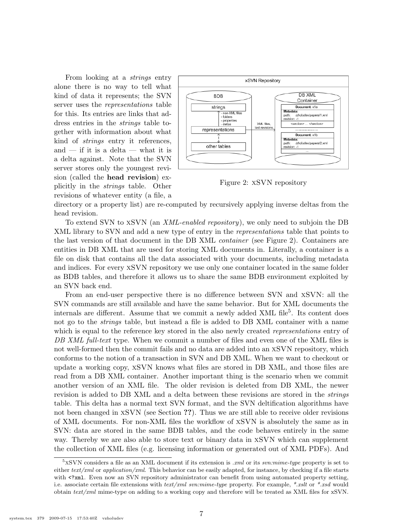From looking at a strings entry alone there is no way to tell what kind of data it represents; the SVN server uses the representations table for this. Its entries are links that address entries in the strings table together with information about what kind of strings entry it references, and — if it is a delta — what it is a delta against. Note that the SVN server stores only the youngest revision (called the head revision) explicitly in the strings table. Other revisions of whatever entity (a file, a



Figure 2: xSVN repository

directory or a property list) are re-computed by recursively applying inverse deltas from the head revision.

To extend SVN to xSVN (an XML-enabled repository), we only need to subjoin the DB XML library to SVN and add a new type of entry in the representations table that points to the last version of that document in the DB XML container (see Figure 2). Containers are entities in DB XML that are used for storing XML documents in. Literally, a container is a file on disk that contains all the data associated with your documents, including metadata and indices. For every xSVN repository we use only one container located in the same folder as BDB tables, and therefore it allows us to share the same BDB environment exploited by an SVN back end.

From an end-user perspective there is no difference between SVN and xSVN: all the SVN commands are still available and have the same behavior. But for XML documents the internals are different. Assume that we commit a newly added XML file<sup>5</sup>. Its content does not go to the *strings* table, but instead a file is added to DB XML container with a name which is equal to the reference key stored in the also newly created *representations* entry of DB XML full-text type. When we commit a number of files and even one of the XML files is not well-formed then the commit fails and no data are added into an xSVN repository, which conforms to the notion of a transaction in SVN and DB XML. When we want to checkout or update a working copy, xSVN knows what files are stored in DB XML, and those files are read from a DB XML container. Another important thing is the scenario when we commit another version of an XML file. The older revision is deleted from DB XML, the newer revision is added to DB XML and a delta between these revisions are stored in the *strings* table. This delta has a normal text SVN format, and the SVN deltification algorithms have not been changed in xSVN (see Section ??). Thus we are still able to receive older revisions of XML documents. For non-XML files the workflow of xSVN is absolutely the same as in SVN: data are stored in the same BDB tables, and the code behaves entirely in the same way. Thereby we are also able to store text or binary data in xSVN which can supplement the collection of XML files (e.g. licensing information or generated out of XML PDFs). And

 $5xSVN$  considers a file as an XML document if its extension is .xml or its svn:mime-type property is set to either  $text/zml$  or application/xml. This behavior can be easily adapted, for instance, by checking if a file starts with <?xml. Even now an SVN repository administrator can benefit from using automated property setting, i.e. associate certain file extensions with  $text/ml sum$ : sun:mime-type property. For example, \*.xslt or \*.xsd would obtain text/xml mime-type on adding to a working copy and therefore will be treated as XML files for xSVN.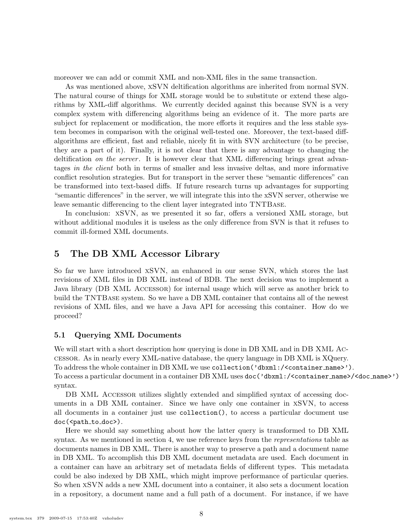moreover we can add or commit XML and non-XML files in the same transaction.

As was mentioned above, xSVN deltification algorithms are inherited from normal SVN. The natural course of things for XML storage would be to substitute or extend these algorithms by XML-diff algorithms. We currently decided against this because SVN is a very complex system with differencing algorithms being an evidence of it. The more parts are subject for replacement or modification, the more efforts it requires and the less stable system becomes in comparison with the original well-tested one. Moreover, the text-based diffalgorithms are efficient, fast and reliable, nicely fit in with SVN architecture (to be precise, they are a part of it). Finally, it is not clear that there is any advantage to changing the deltification on the server. It is however clear that XML differencing brings great advantages in the client both in terms of smaller and less invasive deltas, and more informative conflict resolution strategies. But for transport in the server these "semantic differences" can be transformed into text-based diffs. If future research turns up advantages for supporting "semantic differences" in the server, we will integrate this into the xSVN server, otherwise we leave semantic differencing to the client layer integrated into TNTBase.

In conclusion: xSVN, as we presented it so far, offers a versioned XML storage, but without additional modules it is useless as the only difference from SVN is that it refuses to commit ill-formed XML documents.

### 5 The DB XML Accessor Library

So far we have introduced xSVN, an enhanced in our sense SVN, which stores the last revisions of XML files in DB XML instead of BDB. The next decision was to implement a Java library (DB XML Accessor) for internal usage which will serve as another brick to build the TNTBase system. So we have a DB XML container that contains all of the newest revisions of XML files, and we have a Java API for accessing this container. How do we proceed?

#### 5.1 Querying XML Documents

We will start with a short description how querying is done in DB XML and in DB XML Accessor. As in nearly every XML-native database, the query language in DB XML is XQuery. To address the whole container in DB XML we use collection('dbxml:/<container name>'). To access a particular document in a container DB XML uses doc('dbxml:/<container name>/<doc name>') syntax.

DB XML ACCESSOR utilizes slightly extended and simplified syntax of accessing documents in a DB XML container. Since we have only one container in xSVN, to access all documents in a container just use collection(), to access a particular document use doc(<path\_to\_doc>).

Here we should say something about how the latter query is transformed to DB XML syntax. As we mentioned in section 4, we use reference keys from the *representations* table as documents names in DB XML. There is another way to preserve a path and a document name in DB XML. To accomplish this DB XML document metadata are used. Each document in a container can have an arbitrary set of metadata fields of different types. This metadata could be also indexed by DB XML, which might improve performance of particular queries. So when xSVN adds a new XML document into a container, it also sets a document location in a repository, a document name and a full path of a document. For instance, if we have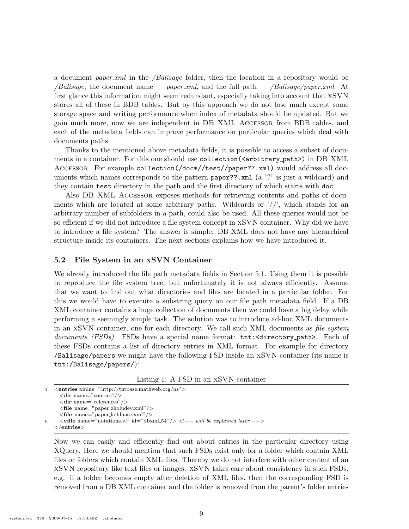a document paper. $xml$  in the */Balisage* folder, then the location in a repository would be *Balisage*, the document name — *paper.xml*, and the full path — */Balisage/paper.xml*. At first glance this information might seem redundant, especially taking into account that xSVN stores all of these in BDB tables. But by this approach we do not lose much except some storage space and writing performance when index of metadata should be updated. But we gain much more, now we are independent in DB XML Accessor from BDB tables, and each of the metadata fields can improve performance on particular queries which deal with documents paths.

Thanks to the mentioned above metadata fields, it is possible to access a subset of documents in a container. For this one should use collection(<arbitrary\_path>) in DB XML Accessor. For example collection(/doc\*//test//paper??.xml) would address all documents which names corresponds to the pattern paper??.xml (a '?' is just a wildcard) and they contain test directory in the path and the first directory of which starts with doc.

Also DB XML Accessor exposes methods for retrieving contents and paths of documents which are located at some arbitrary paths. Wildcards or  $\frac{\gamma}{\gamma}$ , which stands for an arbitrary number of subfolders in a path, could also be used. All these queries would not be so efficient if we did not introduce a file system concept in xSVN container. Why did we have to introduce a file system? The answer is simple: DB XML does not have any hierarchical structure inside its containers. The next sections explains how we have introduced it.

#### 5.2 File System in an xSVN Container

We already introduced the file path metadata fields in Section 5.1. Using them it is possible to reproduce the file system tree, but unfortunately it is not always efficiently. Assume that we want to find out what directories and files are located in a particular folder. For this we would have to execute a substring query on our file path metadata field. If a DB XML container contains a huge collection of documents then we could have a big delay while performing a seemingly simple task. The solution was to introduce ad-hoc XML documents in an XSVN container, one for each directory. We call such XML documents as *file system* documents (FSDs). FSDs have a special name format: tnt: <directory\_path>. Each of these FSDs contains a list of directory entries in XML format. For example for directory /Balisage/papers we might have the following FSD inside an xSVN container (its name is tnt:/Balisage/papers/):

Listing 1: A FSD in an xSVN container

1 <entries xmlns="http://tntbase.mathweb.org/ns">  $\langle$ dir name="sources"/> <dir name="references"/> <file name="paper zholudev.xml"/> <file name="paper kohlhase.xml"/> 6  $\langle \mathbf{vfile name} = \text{"notations.vf" id} = \text{"\mathrm{dbxml.54"}/\rangle \langle \cdot \cdot \cdot \cdot \rangle = \text{``will be explained later --}\rangle$  $\langle$ /entries

Now we can easily and efficiently find out about entries in the particular directory using XQuery. Here we should mention that such FSDs exist only for a folder which contain XML files or folders which contain XML files. Thereby we do not interfere with other content of an xSVN repository like text files or images. xSVN takes care about consistency in such FSDs, e.g. if a folder becomes empty after deletion of XML files, then the corresponding FSD is removed from a DB XML container and the folder is removed from the parent's folder entries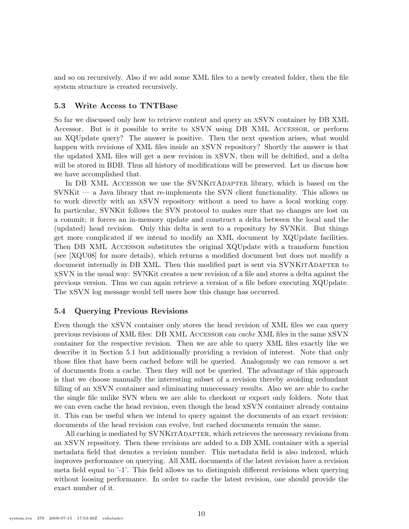and so on recursively. Also if we add some XML files to a newly created folder, then the file system structure is created recursively.

#### 5.3 Write Access to TNTBase

So far we discussed only how to retrieve content and query an xSVN container by DB XML Accessor. But is it possible to write to xSVN using DB XML Accessor, or perform an XQUpdate query? The answer is positive. Then the next question arises, what would happen with revisions of XML files inside an xSVN repository? Shortly the answer is that the updated XML files will get a new revision in xSVN, then will be deltified, and a delta will be stored in BDB. Thus all history of modifications will be preserved. Let us discuss how we have accomplished that.

In DB XML ACCESSOR we use the SVNKITADAPTER library, which is based on the  $SVMKit - a Java library that re-implements the SVM client functionality. This allows us$ to work directly with an xSVN repository without a need to have a local working copy. In particular, SVNKit follows the SVN protocol to makes sure that no changes are lost on a commit; it forces an in-memory update and construct a delta between the local and the (updated) head revision. Only this delta is sent to a repository by SVNKit. But things get more complicated if we intend to modify an XML document by XQUpdate facilities. Then DB XML Accessor substitutes the original XQUpdate with a transform function (see [XQU08] for more details), which returns a modified document but does not modify a document internally in DB XML. Then this modified part is sent via SVNKITADAPTER to xSVN in the usual way: SVNKit creates a new revision of a file and stores a delta against the previous version. Thus we can again retrieve a version of a file before executing XQUpdate. The xSVN log message would tell users how this change has occurred.

#### 5.4 Querying Previous Revisions

Even though the xSVN container only stores the head revision of XML files we can query previous revisions of XML files: DB XML Accessor can cache XML files in the same xSVN container for the respective revision. Then we are able to query XML files exactly like we describe it in Section 5.1 but additionally providing a revision of interest. Note that only those files that have been cached before will be queried. Analogously we can remove a set of documents from a cache. Then they will not be queried. The advantage of this approach is that we choose manually the interesting subset of a revision thereby avoiding redundant filling of an xSVN container and eliminating unnecessary results. Also we are able to cache the single file unlike SVN when we are able to checkout or export only folders. Note that we can even cache the head revision, even though the head xSVN container already contains it. This can be useful when we intend to query against the documents of an exact revision: documents of the head revision can evolve, but cached documents remain the same.

All caching is mediated by SVNKITADAPTER, which retrieves the necessary revisions from an xSVN repository. Then these revisions are added to a DB XML container with a special metadata field that denotes a revision number. This metadata field is also indexed, which improves performance on querying. All XML documents of the latest revision have a revision meta field equal to '-1'. This field allows us to distinguish different revisions when querying without loosing performance. In order to cache the latest revision, one should provide the exact number of it.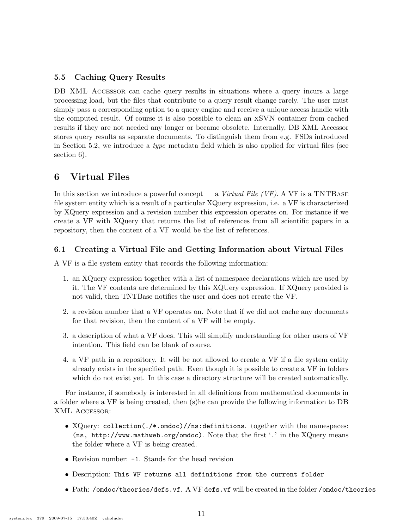### 5.5 Caching Query Results

DB XML ACCESSOR can cache query results in situations where a query incurs a large processing load, but the files that contribute to a query result change rarely. The user must simply pass a corresponding option to a query engine and receive a unique access handle with the computed result. Of course it is also possible to clean an xSVN container from cached results if they are not needed any longer or became obsolete. Internally, DB XML Accessor stores query results as separate documents. To distinguish them from e.g. FSDs introduced in Section 5.2, we introduce a *type* metadata field which is also applied for virtual files (see section 6).

# 6 Virtual Files

In this section we introduce a powerful concept — a Virtual File (VF). A VF is a TNTBASE file system entity which is a result of a particular XQuery expression, i.e. a VF is characterized by XQuery expression and a revision number this expression operates on. For instance if we create a VF with XQuery that returns the list of references from all scientific papers in a repository, then the content of a VF would be the list of references.

### 6.1 Creating a Virtual File and Getting Information about Virtual Files

A VF is a file system entity that records the following information:

- 1. an XQuery expression together with a list of namespace declarations which are used by it. The VF contents are determined by this XQUery expression. If XQuery provided is not valid, then TNTBase notifies the user and does not create the VF.
- 2. a revision number that a VF operates on. Note that if we did not cache any documents for that revision, then the content of a VF will be empty.
- 3. a description of what a VF does. This will simplify understanding for other users of VF intention. This field can be blank of course.
- 4. a VF path in a repository. It will be not allowed to create a VF if a file system entity already exists in the specified path. Even though it is possible to create a VF in folders which do not exist yet. In this case a directory structure will be created automatically.

For instance, if somebody is interested in all definitions from mathematical documents in a folder where a VF is being created, then (s)he can provide the following information to DB XML Accessor:

- XQuery: collection(./\*.omdoc)//ns:definitions. together with the namespaces: (ns, http://www.mathweb.org/omdoc). Note that the first '.' in the XQuery means the folder where a VF is being created.
- Revision number: -1. Stands for the head revision
- Description: This VF returns all definitions from the current folder
- Path: /omdoc/theories/defs.vf. A VF defs.vf will be created in the folder /omdoc/theories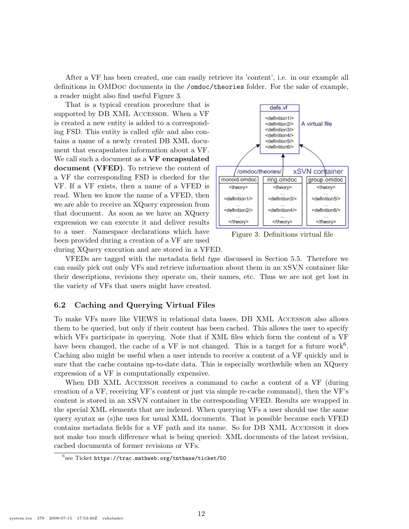After a VF has been created, one can easily retrieve its 'content', i.e. in our example all definitions in OMDoc documents in the /omdoc/theories folder. For the sake of example, a reader might also find useful Figure 3.

That is a typical creation procedure that is supported by DB XML Accessor. When a VF is created a new entity is added to a corresponding FSD. This entity is called vfile and also contains a name of a newly created DB XML document that encapsulates information about a VF. We call such a document as a VF encapsulated document (VFED). To retrieve the content of a VF the corresponding FSD is checked for the VF. If a VF exists, then a name of a VFED is read. When we know the name of a VFED, then we are able to receive an XQuery expression from that document. As soon as we have an XQuery expression we can execute it and deliver results to a user. Namespace declarations which have been provided during a creation of a VF are used



Figure 3: Definitions virtual file

during XQuery execution and are stored in a VFED.

VFEDs are tagged with the metadata field type discussed in Section 5.5. Therefore we can easily pick out only VFs and retrieve information about them in an xSVN container like their descriptions, revisions they operate on, their names, etc. Thus we are not get lost in the variety of VFs that users might have created.

#### 6.2 Caching and Querying Virtual Files

To make VFs more like VIEWS in relational data bases, DB XML Accessor also allows them to be queried, but only if their content has been cached. This allows the user to specify which VFs participate in querying. Note that if XML files which form the content of a VF have been changed, the cache of a VF is not changed. This is a target for a future work<sup>6</sup>. Caching also might be useful when a user intends to receive a content of a VF quickly and is sure that the cache contains up-to-date data. This is especially worthwhile when an XQuery expression of a VF is computationally expensive.

When DB XML ACCESSOR receives a command to cache a content of a VF (during creation of a VF, receiving VF's content or just via simple re-cache command), then the VF's content is stored in an xSVN container in the corresponding VFED. Results are wrapped in the special XML elements that are indexed. When querying VFs a user should use the same query syntax as (s)he uses for usual XML documents. That is possible because each VFED contains metadata fields for a VF path and its name. So for DB XML Accessor it does not make too much difference what is being queried: XML documents of the latest revision, cached documents of former revisions or VFs.

 $^6$ see Ticket <code>https://trac.mathweb.org/tntbase/ticket/50</code>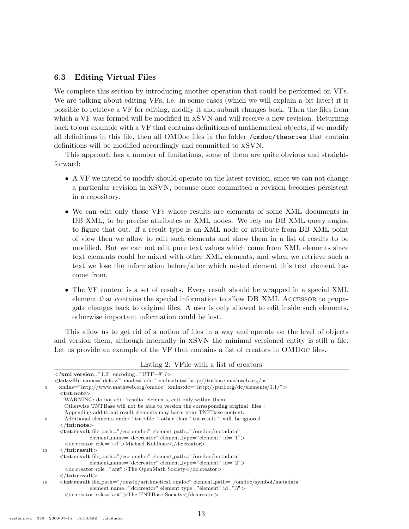#### 6.3 Editing Virtual Files

We complete this section by introducing another operation that could be performed on VFs. We are talking about editing VFs, i.e. in some cases (which we will explain a bit later) it is possible to retrieve a VF for editing, modify it and submit changes back. Then the files from which a VF was formed will be modified in  $xSVN$  and will receive a new revision. Returning back to our example with a VF that contains definitions of mathematical objects, if we modify all definitions in this file, then all OMDoc files in the folder /omdoc/theories that contain definitions will be modified accordingly and committed to xSVN.

This approach has a number of limitations, some of them are quite obvious and straightforward:

- A VF we intend to modify should operate on the latest revision, since we can not change a particular revision in xSVN, because once committed a revision becomes persistent in a repository.
- We can edit only those VFs whose results are elements of some XML documents in DB XML, to be precise attributes or XML nodes. We rely on DB XML query engine to figure that out. If a result type is an XML node or attribute from DB XML point of view then we allow to edit such elements and show them in a list of results to be modified. But we can not edit pure text values which come from XML elements since text elements could be mixed with other XML elements, and when we retrieve such a text we lose the information before/after which nested element this text element has come from.
- The VF content is a set of results. Every result should be wrapped in a special XML element that contains the special information to allow DB XML ACCESSOR to propagate changes back to original files. A user is only allowed to edit inside such elements, otherwise important information could be lost.

This allow us to get rid of a notion of files in a way and operate on the level of objects and version them, although internally in xSVN the minimal versioned entity is still a file. Let us provide an example of the VF that contains a list of creators in OMDoc files.

Listing 2: VFile with a list of creators

|    | $\langle ? \mathbf{x} \mathbf{m}   \mathbf{version} = "1.0" encoding = "UTE-8"? \rangle$                         |
|----|------------------------------------------------------------------------------------------------------------------|
|    | $\lt$ tnt:vfile name="defs.vf" mode="edit" xmlns:tnt="http://tntbase.mathweb.org/ns"                             |
| 3  | $xmln s="http://www.mathweb.org/omdoc" xmln s:dc="http://pur.org/dc/elements/1.1/">$                             |
|    | $<$ tnt:note $>$                                                                                                 |
|    | WARNING: do not edit 'results' elements, edit only within them!                                                  |
|    | Otherwise TNTBase will not be able to version the corresponding original files!                                  |
|    | Appending additional result elements may harm your TNTBase content.                                              |
| 8  | Additional elements under 'there' other than 'the 'there' will be ignored                                        |
|    | $\langle$ /tnt:note $\rangle$                                                                                    |
|    | <tnt:result <="" element_path="/omdoc/metadata" file_path="/ecc.omdoc" th=""></tnt:result>                       |
|    | element_name="dc:creator" element_type="element" id="1">                                                         |
|    | <dc:creator role="trl">Michael Kohlhase</dc:creator>                                                             |
| 13 | $\langle$ tnt:result $\rangle$                                                                                   |
|    | <tnt:result <="" element_path="/omdoc/metadata" file_path="/ecc.omdoc" th=""></tnt:result>                       |
|    | element_name=" $\text{d}c:\text{creator}$ " element_type="element" $\text{id} = "2">$                            |
|    | <dc:creator role="ant">The OpenMath Society</dc:creator>                                                         |
|    | $\langle$ /tnt:result $\rangle$                                                                                  |
| 18 | <tnt:result <="" element_path="/omdoc/symbol/metadata" file_path="/omstd/arithmetics1.omdoc" th=""></tnt:result> |
|    | element_name=" $\text{d}c:\text{creator}$ " element_type="element" $\text{id} = "3">$                            |
|    | <dc:creator role="ant">The TNTBase Society</dc:creator>                                                          |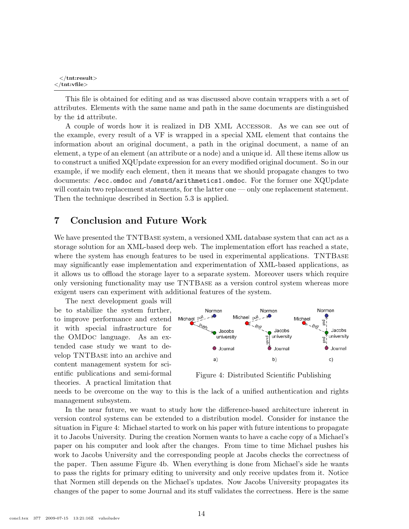```
\langle /tnt:result>\langletnt:vfile>
```
This file is obtained for editing and as was discussed above contain wrappers with a set of attributes. Elements with the same name and path in the same documents are distinguished by the id attribute.

A couple of words how it is realized in DB XML Accessor. As we can see out of the example, every result of a VF is wrapped in a special XML element that contains the information about an original document, a path in the original document, a name of an element, a type of an element (an attribute or a node) and a unique id. All these items allow us to construct a unified XQUpdate expression for an every modified original document. So in our example, if we modify each element, then it means that we should propagate changes to two documents: /ecc.omdoc and /omstd/arithmetics1.omdoc. For the former one XQUpdate will contain two replacement statements, for the latter one — only one replacement statement. Then the technique described in Section 5.3 is applied.

# 7 Conclusion and Future Work

We have presented the TNTBASE system, a versioned XML database system that can act as a storage solution for an XML-based deep web. The implementation effort has reached a state, where the system has enough features to be used in experimental applications. TNTBASE may significantly ease implementation and experimentation of XML-based applications, as it allows us to offload the storage layer to a separate system. Moreover users which require only versioning functionality may use TNTBase as a version control system whereas more exigent users can experiment with additional features of the system.

The next development goals will be to stabilize the system further, to improve performance and extend it with special infrastructure for the OMDoc language. As an extended case study we want to develop TNTBase into an archive and content management system for scientific publications and semi-formal theories. A practical limitation that



Figure 4: Distributed Scientific Publishing

needs to be overcome on the way to this is the lack of a unified authentication and rights management subsystem.

In the near future, we want to study how the difference-based architecture inherent in version control systems can be extended to a distribution model. Consider for instance the situation in Figure 4: Michael started to work on his paper with future intentions to propagate it to Jacobs University. During the creation Normen wants to have a cache copy of a Michael's paper on his computer and look after the changes. From time to time Michael pushes his work to Jacobs University and the corresponding people at Jacobs checks the correctness of the paper. Then assume Figure 4b. When everything is done from Michael's side he wants to pass the rights for primary editing to university and only receive updates from it. Notice that Normen still depends on the Michael's updates. Now Jacobs University propagates its changes of the paper to some Journal and its stuff validates the correctness. Here is the same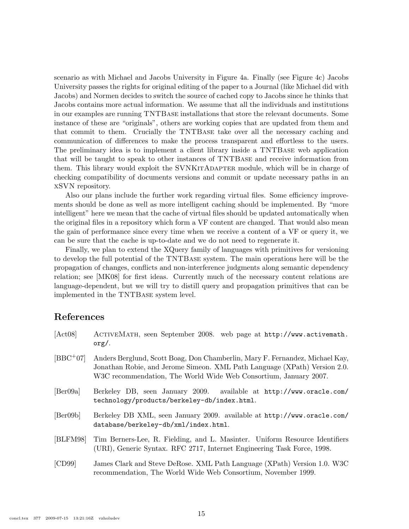scenario as with Michael and Jacobs University in Figure 4a. Finally (see Figure 4c) Jacobs University passes the rights for original editing of the paper to a Journal (like Michael did with Jacobs) and Normen decides to switch the source of cached copy to Jacobs since he thinks that Jacobs contains more actual information. We assume that all the individuals and institutions in our examples are running TNTBase installations that store the relevant documents. Some instance of these are "originals", others are working copies that are updated from them and that commit to them. Crucially the TNTBase take over all the necessary caching and communication of differences to make the process transparent and effortless to the users. The preliminary idea is to implement a client library inside a TNTBase web application that will be taught to speak to other instances of TNTBase and receive information from them. This library would exploit the SVNKITADAPTER module, which will be in charge of checking compatibility of documents versions and commit or update necessary paths in an xSVN repository.

Also our plans include the further work regarding virtual files. Some efficiency improvements should be done as well as more intelligent caching should be implemented. By "more intelligent" here we mean that the cache of virtual files should be updated automatically when the original files in a repository which form a VF content are changed. That would also mean the gain of performance since every time when we receive a content of a VF or query it, we can be sure that the cache is up-to-date and we do not need to regenerate it.

Finally, we plan to extend the XQuery family of languages with primitives for versioning to develop the full potential of the TNTBase system. The main operations here will be the propagation of changes, conflicts and non-interference judgments along semantic dependency relation; see [MK08] for first ideas. Currently much of the necessary content relations are language-dependent, but we will try to distill query and propagation primitives that can be implemented in the TNTBase system level.

# References

| [Act08]                      | ACTIVEMATH, seen September 2008. web page at http://www.activemath.<br>$\text{org}/.$                                                                                                                                         |
|------------------------------|-------------------------------------------------------------------------------------------------------------------------------------------------------------------------------------------------------------------------------|
| $[BBC + 07]$                 | Anders Berglund, Scott Boag, Don Chamberlin, Mary F. Fernandez, Michael Kay,<br>Jonathan Robie, and Jerome Simeon. XML Path Language (XPath) Version 2.0.<br>W3C recommendation, The World Wide Web Consortium, January 2007. |
| $\left[\text{BerO9a}\right]$ | Berkeley DB, seen January 2009. available at http://www.oracle.com/<br>technology/products/berkeley-db/index.html.                                                                                                            |
| [Ber09b]                     | Berkeley DB XML, seen January 2009. available at http://www.oracle.com/<br>database/berkeley-db/xml/index.html.                                                                                                               |
| [BLFM98]                     | Tim Berners-Lee, R. Fielding, and L. Masinter. Uniform Resource Identifiers<br>(URI), Generic Syntax. RFC 2717, Internet Engineering Task Force, 1998.                                                                        |
| [CD99]                       | James Clark and Steve DeRose. XML Path Language (XPath) Version 1.0. W3C<br>recommendation, The World Wide Web Consortium, November 1999.                                                                                     |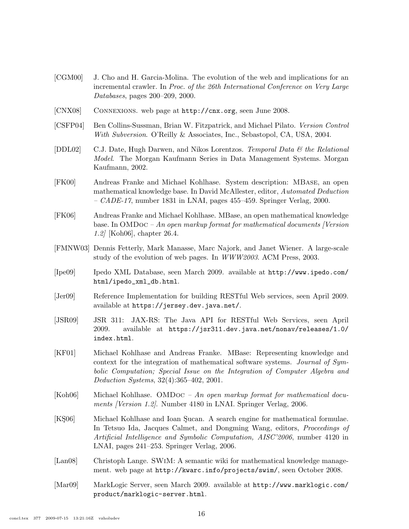- [CGM00] J. Cho and H. Garcia-Molina. The evolution of the web and implications for an incremental crawler. In Proc. of the 26th International Conference on Very Large Databases, pages 200–209, 2000.
- [CNX08] Connexions. web page at http://cnx.org, seen June 2008.
- [CSFP04] Ben Collins-Sussman, Brian W. Fitzpatrick, and Michael Pilato. Version Control With Subversion. O'Reilly & Associates, Inc., Sebastopol, CA, USA, 2004.
- [DDL02] C.J. Date, Hugh Darwen, and Nikos Lorentzos. Temporal Data  $\mathcal{C}$  the Relational Model. The Morgan Kaufmann Series in Data Management Systems. Morgan Kaufmann, 2002.
- [FK00] Andreas Franke and Michael Kohlhase. System description: MBase, an open mathematical knowledge base. In David McAllester, editor, Automated Deduction –  $CADE-17$ , number 1831 in LNAI, pages 455–459. Springer Verlag, 2000.
- [FK06] Andreas Franke and Michael Kohlhase. MBase, an open mathematical knowledge base. In OMDoc – An open markup format for mathematical documents [Version 1.2] [Koh06], chapter 26.4.
- [FMNW03] Dennis Fetterly, Mark Manasse, Marc Najork, and Janet Wiener. A large-scale study of the evolution of web pages. In WWW2003. ACM Press, 2003.
- [Ipe09] Ipedo XML Database, seen March 2009. available at http://www.ipedo.com/ html/ipedo\_xml\_db.html.
- [Jer09] Reference Implementation for building RESTful Web services, seen April 2009. available at https://jersey.dev.java.net/.
- [JSR09] JSR 311: JAX-RS: The Java API for RESTful Web Services, seen April 2009. available at https://jsr311.dev.java.net/nonav/releases/1.0/ index.html.
- [KF01] Michael Kohlhase and Andreas Franke. MBase: Representing knowledge and context for the integration of mathematical software systems. Journal of Symbolic Computation; Special Issue on the Integration of Computer Algebra and Deduction Systems, 32(4):365–402, 2001.
- [Koh06] Michael Kohlhase. OMDoc An open markup format for mathematical documents [Version 1.2]. Number 4180 in LNAI. Springer Verlag, 2006.
- [KS06] Michael Kohlhase and Ioan Sucan. A search engine for mathematical formulae. In Tetsuo Ida, Jacques Calmet, and Dongming Wang, editors, Proceedings of Artificial Intelligence and Symbolic Computation, AISC'2006, number 4120 in LNAI, pages 241–253. Springer Verlag, 2006.
- [Lan08] Christoph Lange. SWiM: A semantic wiki for mathematical knowledge management. web page at http://kwarc.info/projects/swim/, seen October 2008.
- [Mar09] MarkLogic Server, seen March 2009. available at http://www.marklogic.com/ product/marklogic-server.html.